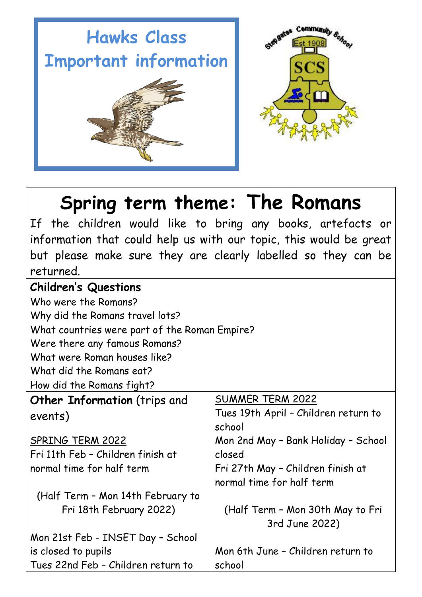



# **Spring term theme: The Romans**

If the children would like to bring any books, artefacts or information that could help us with our topic, this would be great but please make sure they are clearly labelled so they can be returned.

### **Children's Questions**

Who were the Romans?

Why did the Romans travel lots?

What countries were part of the Roman Empire?

Were there any famous Romans?

What were Roman houses like?

What did the Romans eat?

How did the Romans fight?

**Other Information** (trips and events)

SPRING TERM 2022 Fri 11th Feb – Children finish at

normal time for half term

is closed to pupils

(Half Term – Mon 14th February to Fri 18th February 2022)

Mon 21st Feb - INSET Day – School

## SUMMER TERM 2022

Tues 19th April – Children return to school Mon 2nd May – Bank Holiday – School closed Fri 27th May – Children finish at normal time for half term

(Half Term – Mon 30th May to Fri 3rd June 2022)

Tues 22nd Feb – Children return to Mon 6th June – Children return to school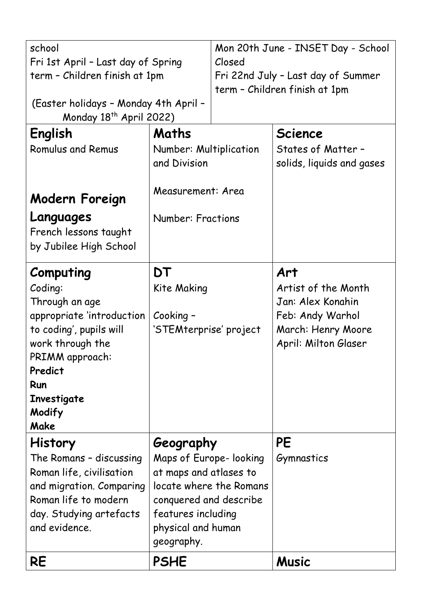| school<br>Fri 1st April - Last day of Spring<br>term - Children finish at 1pm<br>(Easter holidays - Monday 4th April -<br>Monday 18 <sup>th</sup> April 2022)                            |                                                                                                                                                                              | Mon 20th June - INSET Day - School<br>Closed<br>Fri 22nd July - Last day of Summer<br>term - Children finish at 1pm |                                                                                                                   |
|------------------------------------------------------------------------------------------------------------------------------------------------------------------------------------------|------------------------------------------------------------------------------------------------------------------------------------------------------------------------------|---------------------------------------------------------------------------------------------------------------------|-------------------------------------------------------------------------------------------------------------------|
| English<br><b>Romulus and Remus</b><br>Modern Foreign                                                                                                                                    | Maths<br>Number: Multiplication<br>and Division<br>Measurement: Area                                                                                                         |                                                                                                                     | <b>Science</b><br>States of Matter -<br>solids, liquids and gases                                                 |
| Languages<br>French lessons taught<br>by Jubilee High School                                                                                                                             | <b>Number: Fractions</b>                                                                                                                                                     |                                                                                                                     |                                                                                                                   |
| Computing<br>Coding:<br>Through an age<br>appropriate 'introduction<br>to coding', pupils will<br>work through the<br>PRIMM approach:<br>Predict<br>Run<br>Investigate<br>Modify<br>Make | DT<br>Kite Making<br>Cooking -<br>'STEMterprise' project                                                                                                                     |                                                                                                                     | Art<br>Artist of the Month<br>Jan: Alex Konahin<br>Feb: Andy Warhol<br>March: Henry Moore<br>April: Milton Glaser |
| <b>History</b><br>The Romans - discussing<br>Roman life, civilisation<br>and migration. Comparing<br>Roman life to modern<br>day. Studying artefacts<br>and evidence.                    | Geography<br>Maps of Europe-looking<br>at maps and atlases to<br>locate where the Romans<br>conquered and describe<br>features including<br>physical and human<br>geography. |                                                                                                                     | <b>PE</b><br>Gymnastics                                                                                           |
| <b>RE</b>                                                                                                                                                                                | <b>PSHE</b>                                                                                                                                                                  |                                                                                                                     | <b>Music</b>                                                                                                      |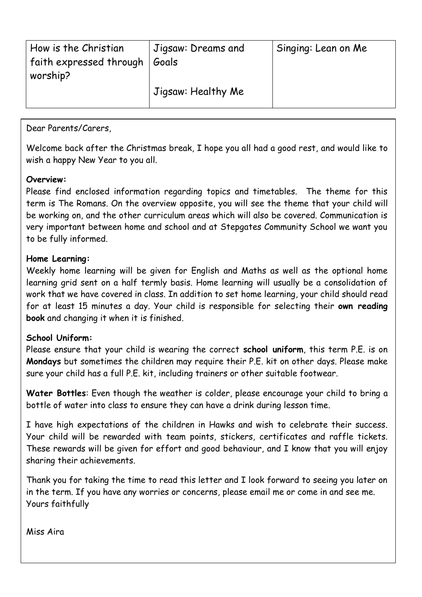| How is the Christian<br>  faith expressed through $\,$<br>worship? | Jigsaw: Dreams and<br>Goals | Singing: Lean on Me |
|--------------------------------------------------------------------|-----------------------------|---------------------|
|                                                                    | Jigsaw: Healthy Me          |                     |

Dear Parents/Carers,

Welcome back after the Christmas break, I hope you all had a good rest, and would like to wish a happy New Year to you all.

#### **Overview:**

Please find enclosed information regarding topics and timetables. The theme for this term is The Romans. On the overview opposite, you will see the theme that your child will be working on, and the other curriculum areas which will also be covered. Communication is very important between home and school and at Stepgates Community School we want you to be fully informed.

#### **Home Learning:**

Weekly home learning will be given for English and Maths as well as the optional home learning grid sent on a half termly basis. Home learning will usually be a consolidation of work that we have covered in class. In addition to set home learning, your child should read for at least 15 minutes a day. Your child is responsible for selecting their **own reading book** and changing it when it is finished.

#### **School Uniform:**

Please ensure that your child is wearing the correct **school uniform**, this term P.E. is on **Mondays** but sometimes the children may require their P.E. kit on other days. Please make sure your child has a full P.E. kit, including trainers or other suitable footwear.

**Water Bottles**: Even though the weather is colder, please encourage your child to bring a bottle of water into class to ensure they can have a drink during lesson time.

I have high expectations of the children in Hawks and wish to celebrate their success. Your child will be rewarded with team points, stickers, certificates and raffle tickets. These rewards will be given for effort and good behaviour, and I know that you will enjoy sharing their achievements.

Thank you for taking the time to read this letter and I look forward to seeing you later on in the term. If you have any worries or concerns, please email me or come in and see me. Yours faithfully

Miss Aira